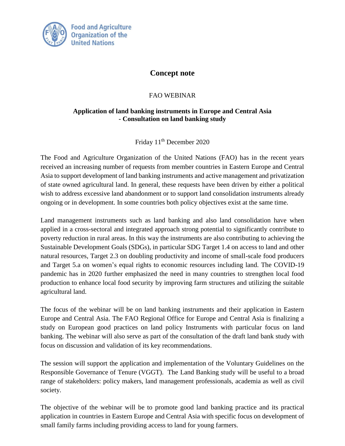

## **Concept note**

## FAO WEBINAR

## **Application of land banking instruments in Europe and Central Asia - Consultation on land banking study**

Friday 11<sup>th</sup> December 2020

The Food and Agriculture Organization of the United Nations (FAO) has in the recent years received an increasing number of requests from member countries in Eastern Europe and Central Asia to support development of land banking instruments and active management and privatization of state owned agricultural land. In general, these requests have been driven by either a political wish to address excessive land abandonment or to support land consolidation instruments already ongoing or in development. In some countries both policy objectives exist at the same time.

Land management instruments such as land banking and also land consolidation have when applied in a cross-sectoral and integrated approach strong potential to significantly contribute to poverty reduction in rural areas. In this way the instruments are also contributing to achieving the Sustainable Development Goals (SDGs), in particular SDG Target 1.4 on access to land and other natural resources, Target 2.3 on doubling productivity and income of small-scale food producers and Target 5.a on women's equal rights to economic resources including land. The COVID-19 pandemic has in 2020 further emphasized the need in many countries to strengthen local food production to enhance local food security by improving farm structures and utilizing the suitable agricultural land.

The focus of the webinar will be on land banking instruments and their application in Eastern Europe and Central Asia. The FAO Regional Office for Europe and Central Asia is finalizing a study on European good practices on land policy Instruments with particular focus on land banking. The webinar will also serve as part of the consultation of the draft land bank study with focus on discussion and validation of its key recommendations.

The session will support the application and implementation of the Voluntary Guidelines on the Responsible Governance of Tenure (VGGT). The Land Banking study will be useful to a broad range of stakeholders: policy makers, land management professionals, academia as well as civil society.

The objective of the webinar will be to promote good land banking practice and its practical application in countries in Eastern Europe and Central Asia with specific focus on development of small family farms including providing access to land for young farmers.